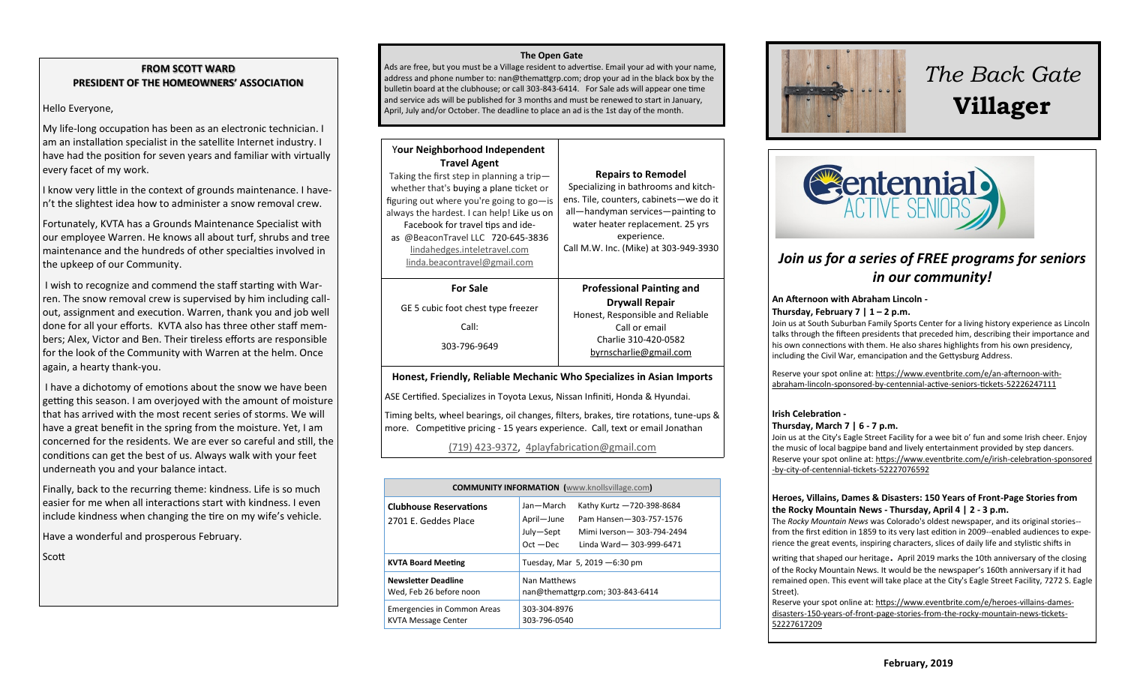# **FROM SCOTT WARD PRESIDENT OF THE HOMEOWNERS' ASSOCIATION**

#### Hello Everyone,

My life-long occupation has been as an electronic technician. I am an installation specialist in the satellite Internet industry. I have had the position for seven years and familiar with virtually every facet of my work.

I know very little in the context of grounds maintenance. I haven't the slightest idea how to administer a snow removal crew.

Fortunately, KVTA has a Grounds Maintenance Specialist with our employee Warren. He knows all about turf, shrubs and tree maintenance and the hundreds of other specialties involved in the upkeep of our Community.

I wish to recognize and commend the staff starting with Warren. The snow removal crew is supervised by him including callout, assignment and execution. Warren, thank you and job well done for all your efforts. KVTA also has three other staff members; Alex, Victor and Ben. Their tireless efforts are responsible for the look of the Community with Warren at the helm. Once again, a hearty thank-you.

I have a dichotomy of emotions about the snow we have been getting this season. I am overjoyed with the amount of moisture that has arrived with the most recent series of storms. We will have a great benefit in the spring from the moisture. Yet, I am concerned for the residents. We are ever so careful and still, the conditions can get the best of us. Always walk with your feet underneath you and your balance intact.

Finally, back to the recurring theme: kindness. Life is so much easier for me when all interactions start with kindness. I even include kindness when changing the tire on my wife's vehicle.

Have a wonderful and prosperous February.

Scott

#### **The Open Gate**

Ads are free, but you must be a Village resident to advertise. Email your ad with your name, address and phone number to: nan@themattgrp.com; drop your ad in the black box by the bulletin board at the clubhouse; or call 303-843-6414. For Sale ads will appear one time and service ads will be published for 3 months and must be renewed to start in January, April, July and/or October. The deadline to place an ad is the 1st day of the month.

| <b>Your Neighborhood Independent</b><br><b>Travel Agent</b><br>Taking the first step in planning a trip-<br>whether that's buying a plane ticket or<br>figuring out where you're going to go-is<br>always the hardest. I can help! Like us on<br>Facebook for travel tips and ide-<br>as @BeaconTravel LLC 720-645-3836<br>lindahedges.inteletravel.com<br>linda.beacontravel@gmail.com | <b>Repairs to Remodel</b><br>Specializing in bathrooms and kitch-<br>ens. Tile, counters, cabinets-we do it<br>all—handyman services—painting to<br>water heater replacement. 25 yrs<br>experience.<br>Call M.W. Inc. (Mike) at 303-949-3930 |
|-----------------------------------------------------------------------------------------------------------------------------------------------------------------------------------------------------------------------------------------------------------------------------------------------------------------------------------------------------------------------------------------|----------------------------------------------------------------------------------------------------------------------------------------------------------------------------------------------------------------------------------------------|
| <b>For Sale</b><br>GE 5 cubic foot chest type freezer<br>Call:<br>303-796-9649                                                                                                                                                                                                                                                                                                          | <b>Professional Painting and</b><br><b>Drywall Repair</b><br>Honest, Responsible and Reliable<br>Call or email<br>Charlie 310-420-0582<br>byrnscharlie@gmail.com                                                                             |

## **Honest, Friendly, Reliable Mechanic Who Specializes in Asian Imports**

ASE Certified. Specializes in Toyota Lexus, Nissan Infiniti, Honda & Hyundai.

Timing belts, wheel bearings, oil changes, filters, brakes, tire rotations, tune-ups & more. Competitive pricing - 15 years experience. Call, text or email Jonathan

# [\(719\) 423](tel:(719)%20423-9372)-9372, [4playfabrication@gmail.com](mailto:4playfabrication@gmail.com)

| <b>COMMUNITY INFORMATION</b> (www.knollsvillage.com)             |                                                     |                                                                                                                |
|------------------------------------------------------------------|-----------------------------------------------------|----------------------------------------------------------------------------------------------------------------|
| <b>Clubhouse Reservations</b><br>2701 E. Geddes Place            | Jan-March<br>April-June<br>July-Sept<br>$Oct - Dec$ | Kathy Kurtz -720-398-8684<br>Pam Hansen-303-757-1576<br>Mimi Iverson - 303-794-2494<br>Linda Ward-303-999-6471 |
| <b>KVTA Board Meeting</b>                                        | Tuesday, Mar 5, 2019 - 6:30 pm                      |                                                                                                                |
| <b>Newsletter Deadline</b><br>Wed, Feb 26 before noon            | Nan Matthews<br>nan@themattgrp.com; 303-843-6414    |                                                                                                                |
| <b>Emergencies in Common Areas</b><br><b>KVTA Message Center</b> | 303-304-8976<br>303-796-0540                        |                                                                                                                |



# *The Back Gate*  **Villager**



# *Join us for a series of FREE programs for seniors in our community!*

#### **[An Afternoon with Abraham Lincoln](https://cas-abelincoln.eventbrite.com/) -**

#### **[Thursday, February 7 | 1 –](https://cas-abelincoln.eventbrite.com/) 2 p.m.**

Join us at South Suburban Family Sports Center for a living history experience as Lincoln talks through the fifteen presidents that preceded him, describing their importance and his own connections with them. He also shares highlights from his own presidency, including the Civil War, emancipation and the Gettysburg Address.

Reserve your spot online at: https://www.eventbrite.com/e/an-afternoon-withabraham-lincoln-sponsored-by-centennial-active-seniors-tickets-52226247111

## **[Irish Celebration](https://cas-irishcelebration.eventbrite.com/) -**

#### **[Thursday, March 7 | 6](https://cas-irishcelebration.eventbrite.com/) - 7 p.m.**

Join us at the City's Eagle Street Facility for a wee bit o' fun and some Irish cheer. Enjoy the music of local bagpipe band and lively entertainment provided by step dancers. Reserve your spot online at: https://www.eventbrite.com/e/irish-celebration-sponsored -by-city-of-centennial-tickets-52227076592

#### **[Heroes, Villains, Dames & Disasters: 150 Years of Front](https://www.eventbrite.com/e/heroes-villains-dames-disasters-150-years-of-front-page-stories-from-the-rocky-mountain-news-tickets-52227617209)-Page Stories from [the Rocky Mountain News](https://www.eventbrite.com/e/heroes-villains-dames-disasters-150-years-of-front-page-stories-from-the-rocky-mountain-news-tickets-52227617209) - Thursday, April 4 | 2 - 3 p.m.**

The *Rocky Mountain News* was Colorado's oldest newspaper, and its original stories- from the first edition in 1859 to its very last edition in 2009--enabled audiences to experience the great events, inspiring characters, slices of daily life and stylistic shifts in

writing that shaped our heritage. April 2019 marks the 10th anniversary of the closing of the Rocky Mountain News. It would be the newspaper's 160th anniversary if it had remained open. This event will take place at the City's Eagle Street Facility, 7272 S. Eagle Street).

Reserve your spot online at: https://www.eventbrite.com/e/heroes-villains-damesdisasters-150-years-of-front-page-stories-from-the-rocky-mountain-news-tickets-52227617209